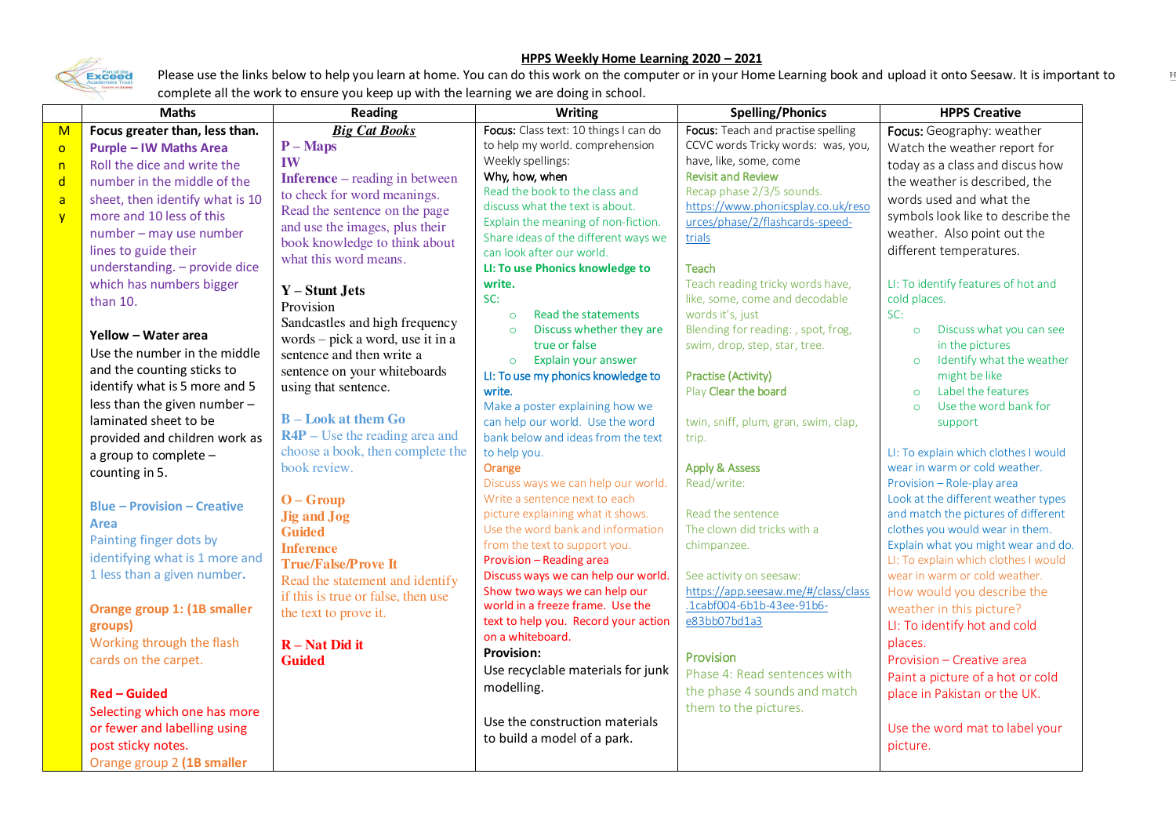## **HPPS Weekly Home Learning 2020 – 2021**



Please use the links below to help you learn at home. You can do this work on the computer or in your Home Learning book and upload it onto Seesaw. It is important to complete all the work to ensure you keep up with the learning we are doing in school.

|              | <b>Maths</b>                       | <b>Reading</b>                                                     | <b>Writing</b>                                                         | <b>Spelling/Phonics</b>                                               | <b>HPPS Creative</b>                                    |
|--------------|------------------------------------|--------------------------------------------------------------------|------------------------------------------------------------------------|-----------------------------------------------------------------------|---------------------------------------------------------|
| M            | Focus greater than, less than.     | <b>Big Cat Books</b>                                               | Focus: Class text: 10 things I can do                                  | Focus: Teach and practise spelling                                    | Focus: Geography: weather                               |
| $\circ$      | <b>Purple - IW Maths Area</b>      | $P-Maps$                                                           | to help my world. comprehension                                        | CCVC words Tricky words: was, you,                                    | Watch the weather report for                            |
| n            | Roll the dice and write the        | IW                                                                 | Weekly spellings:                                                      | have, like, some, come                                                | today as a class and discus how                         |
| $\mathsf{d}$ | number in the middle of the        | <b>Inference</b> – reading in between                              | Why, how, when                                                         | <b>Revisit and Review</b>                                             | the weather is described, the                           |
| a            | sheet, then identify what is 10    | to check for word meanings.                                        | Read the book to the class and                                         | Recap phase 2/3/5 sounds.                                             | words used and what the                                 |
| y            | more and 10 less of this           | Read the sentence on the page                                      | discuss what the text is about.<br>Explain the meaning of non-fiction. | https://www.phonicsplay.co.uk/reso<br>urces/phase/2/flashcards-speed- | symbols look like to describe the                       |
|              | number - may use number            | and use the images, plus their                                     | Share ideas of the different ways we                                   | trials                                                                | weather. Also point out the                             |
|              | lines to guide their               | book knowledge to think about                                      | can look after our world.                                              |                                                                       | different temperatures.                                 |
|              | understanding. - provide dice      | what this word means.                                              | LI: To use Phonics knowledge to                                        | Teach                                                                 |                                                         |
|              | which has numbers bigger           |                                                                    | write.                                                                 | Teach reading tricky words have,                                      | LI: To identify features of hot and                     |
|              | than $10.$                         | $Y -$ Stunt Jets                                                   | SC:                                                                    | like, some, come and decodable                                        | cold places.                                            |
|              |                                    | Provision                                                          | Read the statements<br>$\circ$                                         | words it's, just                                                      | SC:                                                     |
|              | Yellow - Water area                | Sandcastles and high frequency<br>words – pick a word, use it in a | Discuss whether they are<br>$\circ$                                    | Blending for reading: , spot, frog,                                   | Discuss what you can see<br>$\circ$                     |
|              | Use the number in the middle       | sentence and then write a                                          | true or false                                                          | swim, drop, step, star, tree.                                         | in the pictures                                         |
|              | and the counting sticks to         | sentence on your whiteboards                                       | Explain your answer<br>$\circ$                                         |                                                                       | Identify what the weather<br>$\circ$                    |
|              | identify what is 5 more and 5      | using that sentence.                                               | LI: To use my phonics knowledge to                                     | <b>Practise (Activity)</b>                                            | might be like                                           |
|              | less than the given number -       |                                                                    | write.                                                                 | Play Clear the board                                                  | Label the features<br>$\Omega$<br>Use the word bank for |
|              | laminated sheet to be              | <b>B</b> – Look at them Go                                         | Make a poster explaining how we<br>can help our world. Use the word    | twin, sniff, plum, gran, swim, clap,                                  | $\Omega$<br>support                                     |
|              | provided and children work as      | $R4P$ – Use the reading area and                                   | bank below and ideas from the text                                     | trip.                                                                 |                                                         |
|              | a group to complete -              | choose a book, then complete the                                   | to help you.                                                           |                                                                       | LI: To explain which clothes I would                    |
|              | counting in 5.                     | book review.                                                       | Orange                                                                 | <b>Apply &amp; Assess</b>                                             | wear in warm or cold weather.                           |
|              |                                    |                                                                    | Discuss ways we can help our world.                                    | Read/write:                                                           | Provision - Role-play area                              |
|              | <b>Blue - Provision - Creative</b> | $O - G$ roup                                                       | Write a sentence next to each                                          |                                                                       | Look at the different weather types                     |
|              |                                    | <b>Jig and Jog</b>                                                 | picture explaining what it shows.                                      | Read the sentence                                                     | and match the pictures of different                     |
|              | <b>Area</b>                        | <b>Guided</b>                                                      | Use the word bank and information                                      | The clown did tricks with a                                           | clothes you would wear in them.                         |
|              | Painting finger dots by            | <b>Inference</b>                                                   | from the text to support you.                                          | chimpanzee.                                                           | Explain what you might wear and do.                     |
|              | identifying what is 1 more and     | <b>True/False/Prove It</b>                                         | Provision - Reading area                                               |                                                                       | LI: To explain which clothes I would                    |
|              | 1 less than a given number.        | Read the statement and identify                                    | Discuss ways we can help our world.<br>Show two ways we can help our   | See activity on seesaw:<br>https://app.seesaw.me/#/class/class        | wear in warm or cold weather.                           |
|              |                                    | if this is true or false, then use                                 | world in a freeze frame. Use the                                       | .1cabf004-6b1b-43ee-91b6-                                             | How would you describe the                              |
|              | Orange group 1: (1B smaller        | the text to prove it.                                              | text to help you. Record your action                                   | e83bb07bd1a3                                                          | weather in this picture?                                |
|              | groups)                            |                                                                    | on a whiteboard.                                                       |                                                                       | LI: To identify hot and cold                            |
|              | Working through the flash          | $R - Nat Did it$                                                   | <b>Provision:</b>                                                      | Provision                                                             | places.                                                 |
|              | cards on the carpet.               | <b>Guided</b>                                                      | Use recyclable materials for junk                                      | Phase 4: Read sentences with                                          | Provision - Creative area                               |
|              |                                    |                                                                    | modelling.                                                             | the phase 4 sounds and match                                          | Paint a picture of a hot or cold                        |
|              | <b>Red - Guided</b>                |                                                                    |                                                                        |                                                                       | place in Pakistan or the UK.                            |
|              | Selecting which one has more       |                                                                    | Use the construction materials                                         | them to the pictures.                                                 |                                                         |
|              | or fewer and labelling using       |                                                                    | to build a model of a park.                                            |                                                                       | Use the word mat to label your                          |
|              | post sticky notes.                 |                                                                    |                                                                        |                                                                       | picture.                                                |
|              | Orange group 2 (1B smaller         |                                                                    |                                                                        |                                                                       |                                                         |

 $\mathbf{F}$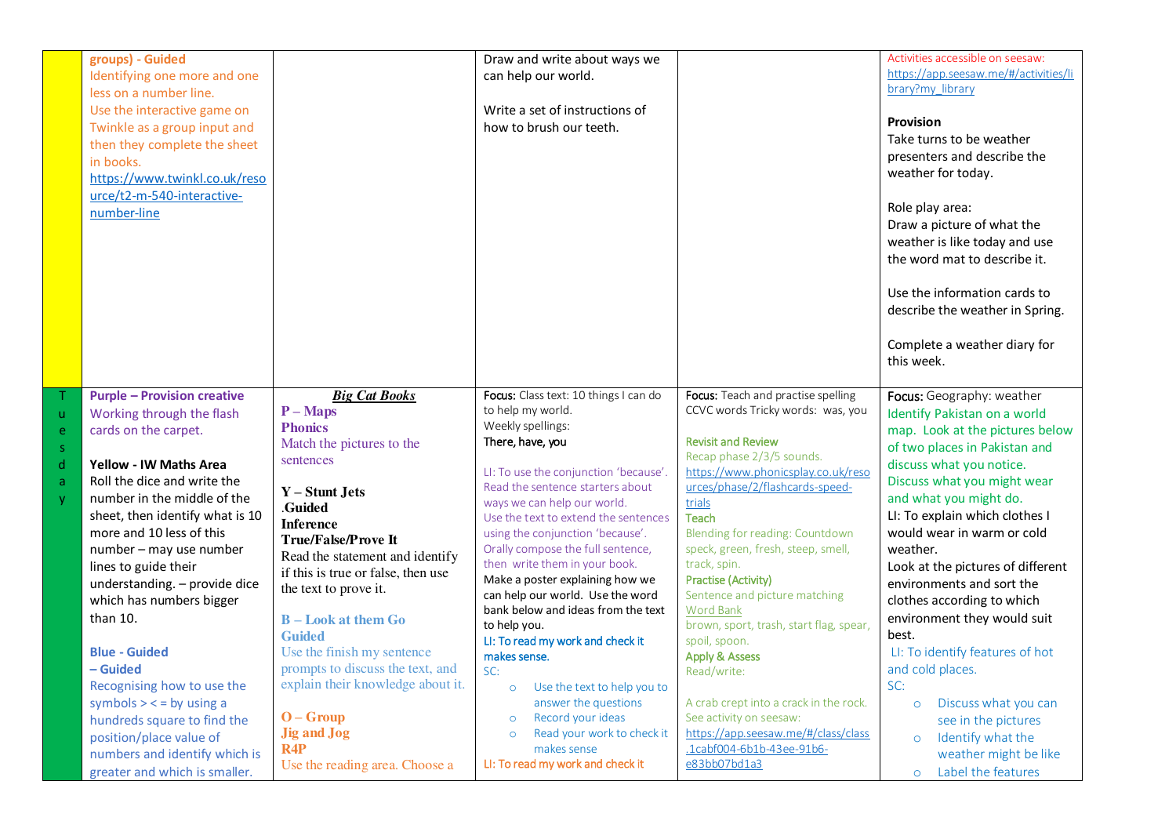| groups) - Guided<br>Identifying one more and one<br>less on a number line.<br>Use the interactive game on<br>Twinkle as a group input and<br>then they complete the sheet<br>in books.<br>https://www.twinkl.co.uk/reso<br>urce/t2-m-540-interactive-<br>number-line                                                                                                                                                                                                                                                                                                                                                                          |                                                                                                                                                                                                                                                                                                                                                                                                                                                                                                                        | Draw and write about ways we<br>can help our world.<br>Write a set of instructions of<br>how to brush our teeth.                                                                                                                                                                                                                                                                                                                                                                                                                                                                                                                                                                                                                                        |                                                                                                                                                                                                                                                                                                                                                                                                                                                                                                                                                                                                                                                                            | Activities accessible on seesaw:<br>https://app.seesaw.me/#/activities/li<br>brary?my library<br><b>Provision</b><br>Take turns to be weather<br>presenters and describe the<br>weather for today.<br>Role play area:<br>Draw a picture of what the<br>weather is like today and use<br>the word mat to describe it.<br>Use the information cards to<br>describe the weather in Spring.<br>Complete a weather diary for<br>this week.                                                                                                                                                                                                         |
|-----------------------------------------------------------------------------------------------------------------------------------------------------------------------------------------------------------------------------------------------------------------------------------------------------------------------------------------------------------------------------------------------------------------------------------------------------------------------------------------------------------------------------------------------------------------------------------------------------------------------------------------------|------------------------------------------------------------------------------------------------------------------------------------------------------------------------------------------------------------------------------------------------------------------------------------------------------------------------------------------------------------------------------------------------------------------------------------------------------------------------------------------------------------------------|---------------------------------------------------------------------------------------------------------------------------------------------------------------------------------------------------------------------------------------------------------------------------------------------------------------------------------------------------------------------------------------------------------------------------------------------------------------------------------------------------------------------------------------------------------------------------------------------------------------------------------------------------------------------------------------------------------------------------------------------------------|----------------------------------------------------------------------------------------------------------------------------------------------------------------------------------------------------------------------------------------------------------------------------------------------------------------------------------------------------------------------------------------------------------------------------------------------------------------------------------------------------------------------------------------------------------------------------------------------------------------------------------------------------------------------------|-----------------------------------------------------------------------------------------------------------------------------------------------------------------------------------------------------------------------------------------------------------------------------------------------------------------------------------------------------------------------------------------------------------------------------------------------------------------------------------------------------------------------------------------------------------------------------------------------------------------------------------------------|
| <b>Purple - Provision creative</b><br>Working through the flash<br>ū<br>cards on the carpet.<br>e<br>S.<br>d<br><b>Yellow - IW Maths Area</b><br>Roll the dice and write the<br>a<br>number in the middle of the<br>Ÿ.<br>sheet, then identify what is 10<br>more and 10 less of this<br>number - may use number<br>lines to guide their<br>understanding. - provide dice<br>which has numbers bigger<br>than 10.<br><b>Blue - Guided</b><br>- Guided<br>Recognising how to use the<br>symbols $>$ < = by using a<br>hundreds square to find the<br>position/place value of<br>numbers and identify which is<br>greater and which is smaller. | <b>Big Cat Books</b><br>$P - Maps$<br><b>Phonics</b><br>Match the pictures to the<br>sentences<br>$Y -$ Stunt Jets<br>.Guided<br><b>Inference</b><br><b>True/False/Prove It</b><br>Read the statement and identify<br>if this is true or false, then use<br>the text to prove it.<br><b>B</b> – Look at them Go<br><b>Guided</b><br>Use the finish my sentence<br>prompts to discuss the text, and<br>explain their knowledge about it.<br>$O - G$ roup<br><b>Jig and Jog</b><br>R4P<br>Use the reading area. Choose a | Focus: Class text: 10 things I can do<br>to help my world.<br>Weekly spellings:<br>There, have, you<br>LI: To use the conjunction 'because'.<br>Read the sentence starters about<br>ways we can help our world.<br>Use the text to extend the sentences<br>using the conjunction 'because'.<br>Orally compose the full sentence,<br>then write them in your book.<br>Make a poster explaining how we<br>can help our world. Use the word<br>bank below and ideas from the text<br>to help you.<br>LI: To read my work and check it<br>makes sense.<br>SC:<br>Use the text to help you to<br>$\circ$<br>answer the questions<br>Record your ideas<br>$\circ$<br>Read your work to check it<br>$\circ$<br>makes sense<br>LI: To read my work and check it | Focus: Teach and practise spelling<br>CCVC words Tricky words: was, you<br><b>Revisit and Review</b><br>Recap phase 2/3/5 sounds.<br>https://www.phonicsplay.co.uk/reso<br>urces/phase/2/flashcards-speed-<br>trials<br>Teach<br>Blending for reading: Countdown<br>speck, green, fresh, steep, smell,<br>track, spin.<br><b>Practise (Activity)</b><br>Sentence and picture matching<br><b>Word Bank</b><br>brown, sport, trash, start flag, spear,<br>spoil, spoon.<br><b>Apply &amp; Assess</b><br>Read/write:<br>A crab crept into a crack in the rock.<br>See activity on seesaw:<br>https://app.seesaw.me/#/class/class<br>.1cabf004-6b1b-43ee-91b6-<br>e83bb07bd1a3 | Focus: Geography: weather<br>Identify Pakistan on a world<br>map. Look at the pictures below<br>of two places in Pakistan and<br>discuss what you notice.<br>Discuss what you might wear<br>and what you might do.<br>LI: To explain which clothes I<br>would wear in warm or cold<br>weather.<br>Look at the pictures of different<br>environments and sort the<br>clothes according to which<br>environment they would suit<br>best.<br>LI: To identify features of hot<br>and cold places.<br>SC:<br>Discuss what you can<br>$\circ$<br>see in the pictures<br>Identify what the<br>$\circ$<br>weather might be like<br>Label the features |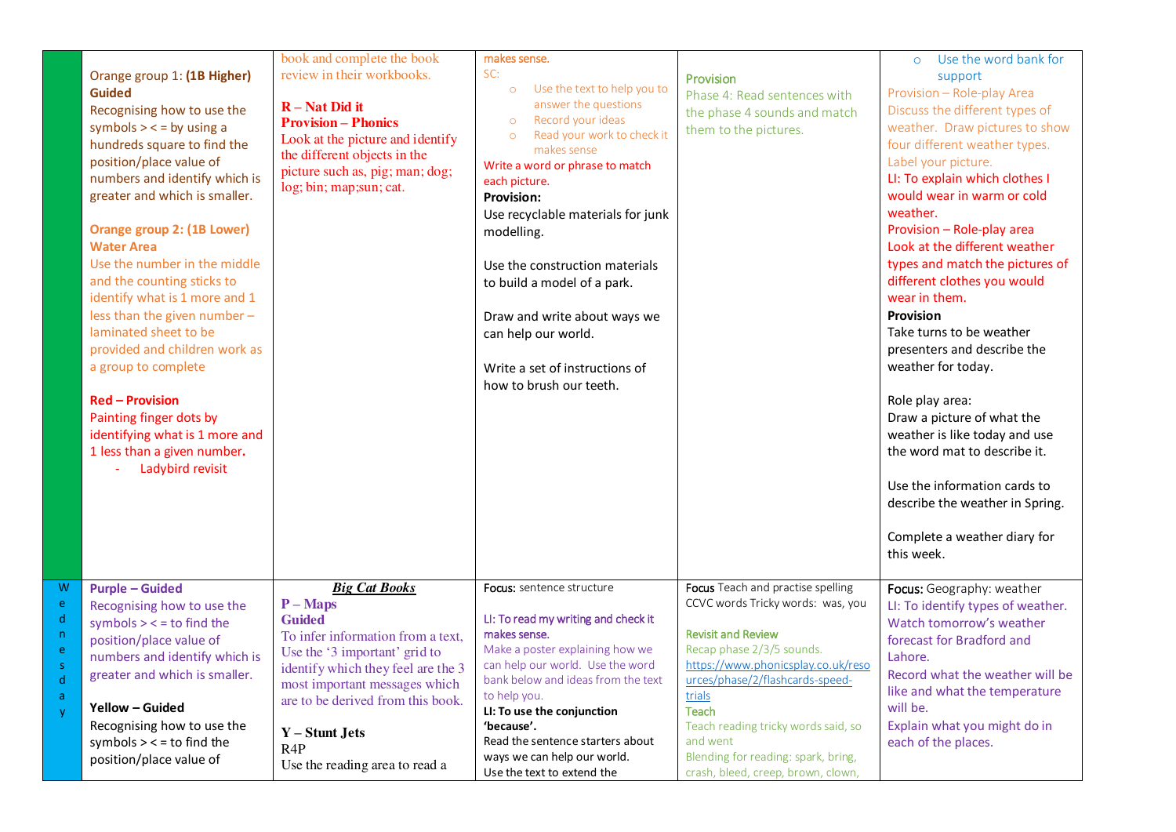|                                        | Orange group 1: (1B Higher)<br><b>Guided</b><br>Recognising how to use the<br>symbols $>$ < = by using a<br>hundreds square to find the<br>position/place value of<br>numbers and identify which is<br>greater and which is smaller.<br><b>Orange group 2: (1B Lower)</b><br><b>Water Area</b><br>Use the number in the middle<br>and the counting sticks to<br>identify what is 1 more and 1<br>less than the given number -<br>laminated sheet to be<br>provided and children work as<br>a group to complete<br><b>Red - Provision</b><br>Painting finger dots by<br>identifying what is 1 more and<br>1 less than a given number.<br>Ladybird revisit | book and complete the book<br>review in their workbooks.<br>$R - Nat Did it$<br><b>Provision - Phonics</b><br>Look at the picture and identify<br>the different objects in the<br>picture such as, pig; man; dog;<br>log; bin; map; sun; cat.                                                  | makes sense.<br>SC:<br>Use the text to help you to<br>$\circ$<br>answer the questions<br>Record your ideas<br>$\circ$<br>Read your work to check it<br>$\circ$<br>makes sense<br>Write a word or phrase to match<br>each picture.<br>Provision:<br>Use recyclable materials for junk<br>modelling.<br>Use the construction materials<br>to build a model of a park.<br>Draw and write about ways we<br>can help our world.<br>Write a set of instructions of<br>how to brush our teeth. | Provision<br>Phase 4: Read sentences with<br>the phase 4 sounds and match<br>them to the pictures.                                                                                                                                                                                                                                                                  | Use the word bank for<br>$\circ$<br>support<br>Provision - Role-play Area<br>Discuss the different types of<br>weather. Draw pictures to show<br>four different weather types.<br>Label your picture.<br>LI: To explain which clothes I<br>would wear in warm or cold<br>weather.<br>Provision - Role-play area<br>Look at the different weather<br>types and match the pictures of<br>different clothes you would<br>wear in them.<br><b>Provision</b><br>Take turns to be weather<br>presenters and describe the<br>weather for today.<br>Role play area:<br>Draw a picture of what the<br>weather is like today and use<br>the word mat to describe it.<br>Use the information cards to<br>describe the weather in Spring.<br>Complete a weather diary for<br>this week. |
|----------------------------------------|----------------------------------------------------------------------------------------------------------------------------------------------------------------------------------------------------------------------------------------------------------------------------------------------------------------------------------------------------------------------------------------------------------------------------------------------------------------------------------------------------------------------------------------------------------------------------------------------------------------------------------------------------------|------------------------------------------------------------------------------------------------------------------------------------------------------------------------------------------------------------------------------------------------------------------------------------------------|-----------------------------------------------------------------------------------------------------------------------------------------------------------------------------------------------------------------------------------------------------------------------------------------------------------------------------------------------------------------------------------------------------------------------------------------------------------------------------------------|---------------------------------------------------------------------------------------------------------------------------------------------------------------------------------------------------------------------------------------------------------------------------------------------------------------------------------------------------------------------|-----------------------------------------------------------------------------------------------------------------------------------------------------------------------------------------------------------------------------------------------------------------------------------------------------------------------------------------------------------------------------------------------------------------------------------------------------------------------------------------------------------------------------------------------------------------------------------------------------------------------------------------------------------------------------------------------------------------------------------------------------------------------------|
| W<br>e<br>d<br>n.<br>ė<br>d<br>a<br>y. | <b>Purple - Guided</b><br>Recognising how to use the<br>symbols $>$ < $=$ to find the<br>position/place value of<br>numbers and identify which is<br>greater and which is smaller.<br>Yellow - Guided<br>Recognising how to use the<br>symbols $>$ < = to find the<br>position/place value of                                                                                                                                                                                                                                                                                                                                                            | <b>Big Cat Books</b><br>$P-Maps$<br><b>Guided</b><br>To infer information from a text,<br>Use the '3 important' grid to<br>identify which they feel are the 3<br>most important messages which<br>are to be derived from this book.<br>Y – Stunt Jets<br>R4P<br>Use the reading area to read a | <b>Focus:</b> sentence structure<br>LI: To read my writing and check it<br>makes sense.<br>Make a poster explaining how we<br>can help our world. Use the word<br>bank below and ideas from the text<br>to help you.<br>LI: To use the conjunction<br>'because'.<br>Read the sentence starters about<br>ways we can help our world.<br>Use the text to extend the                                                                                                                       | Focus Teach and practise spelling<br>CCVC words Tricky words: was, you<br><b>Revisit and Review</b><br>Recap phase 2/3/5 sounds.<br>https://www.phonicsplay.co.uk/reso<br>urces/phase/2/flashcards-speed-<br>trials<br><b>Teach</b><br>Teach reading tricky words said, so<br>and went<br>Blending for reading: spark, bring,<br>crash, bleed, creep, brown, clown, | Focus: Geography: weather<br>LI: To identify types of weather.<br>Watch tomorrow's weather<br>forecast for Bradford and<br>Lahore.<br>Record what the weather will be<br>like and what the temperature<br>will be.<br>Explain what you might do in<br>each of the places.                                                                                                                                                                                                                                                                                                                                                                                                                                                                                                   |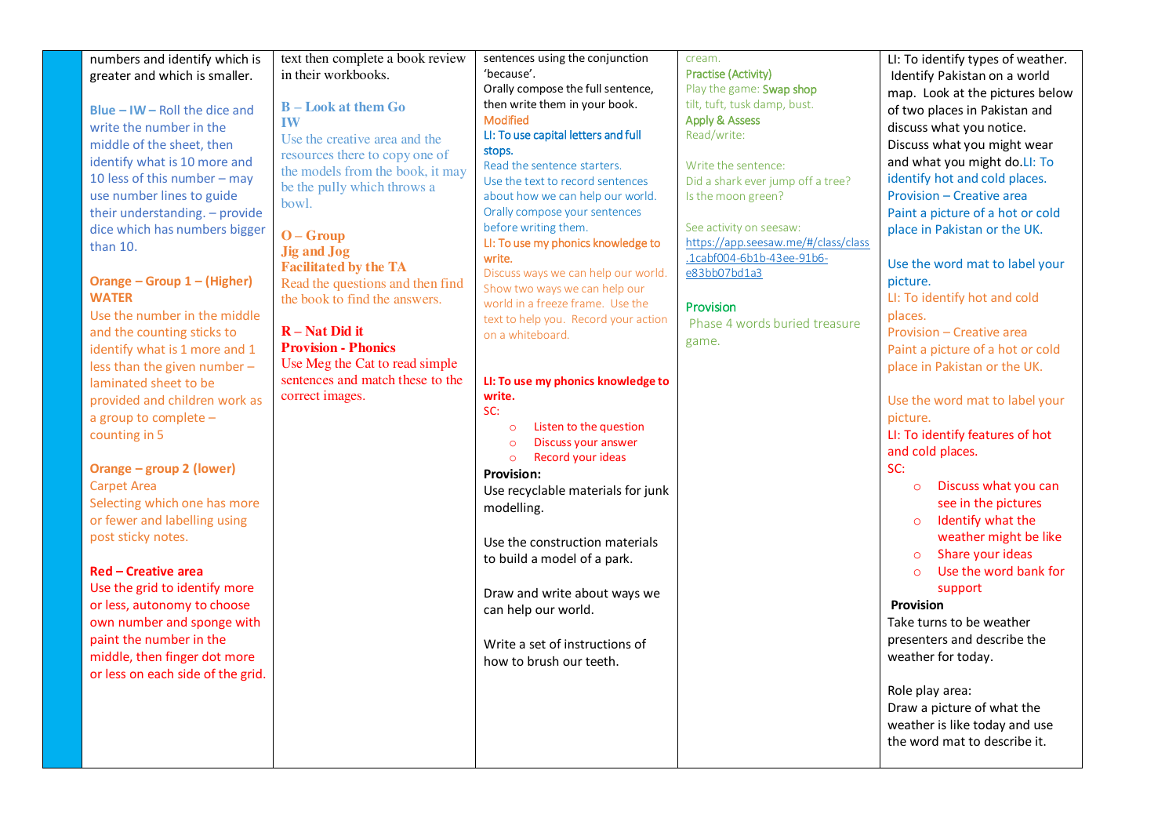| numbers and identify which is<br>greater and which is smaller.<br><b>Blue - IW - Roll the dice and</b><br>write the number in the<br>middle of the sheet, then<br>identify what is 10 more and<br>10 less of this number - may<br>use number lines to guide<br>their understanding. - provide<br>dice which has numbers bigger<br>than 10.<br>Orange - Group 1 - (Higher)<br><b>WATER</b><br>Use the number in the middle<br>and the counting sticks to<br>identify what is 1 more and 1<br>less than the given number -<br>laminated sheet to be<br>provided and children work as<br>a group to complete -<br>counting in 5<br>Orange - group 2 (lower)<br><b>Carpet Area</b><br>Selecting which one has more<br>or fewer and labelling using<br>post sticky notes.<br><b>Red - Creative area</b><br>Use the grid to identify more<br>or less, autonomy to choose<br>own number and sponge with<br>paint the number in the<br>middle, then finger dot more<br>or less on each side of the grid. | text then complete a book review<br>in their workbooks.<br><b>B</b> – Look at them Go<br><b>IW</b><br>Use the creative area and the<br>resources there to copy one of<br>the models from the book, it may<br>be the pully which throws a<br>bowl.<br>$O - G$ roup<br><b>Jig and Jog</b><br><b>Facilitated by the TA</b><br>Read the questions and then find<br>the book to find the answers.<br>$R - Nat Did it$<br><b>Provision - Phonics</b><br>Use Meg the Cat to read simple<br>sentences and match these to the<br>correct images. | sentences using the conjunction<br>'because'.<br>Orally compose the full sentence,<br>then write them in your book.<br><b>Modified</b><br>LI: To use capital letters and full<br>stops.<br>Read the sentence starters.<br>Use the text to record sentences<br>about how we can help our world.<br>Orally compose your sentences<br>before writing them.<br>LI: To use my phonics knowledge to<br>write.<br>Discuss ways we can help our world.<br>Show two ways we can help our<br>world in a freeze frame. Use the<br>text to help you. Record your action<br>on a whiteboard.<br>LI: To use my phonics knowledge to<br>write.<br>SC:<br>Listen to the question<br>$\circ$<br>Discuss your answer<br>$\circ$<br>Record your ideas<br>$\circ$<br><b>Provision:</b><br>Use recyclable materials for junk<br>modelling.<br>Use the construction materials<br>to build a model of a park.<br>Draw and write about ways we<br>can help our world.<br>Write a set of instructions of<br>how to brush our teeth. | cream.<br><b>Practise (Activity)</b><br>Play the game: Swap shop<br>tilt, tuft, tusk damp, bust.<br><b>Apply &amp; Assess</b><br>Read/write:<br>Write the sentence:<br>Did a shark ever jump off a tree?<br>Is the moon green?<br>See activity on seesaw:<br>https://app.seesaw.me/#/class/class<br>.1cabf004-6b1b-43ee-91b6-<br>e83bb07bd1a3<br>Provision<br>Phase 4 words buried treasure<br>game. | LI: To identify types of weather.<br>Identify Pakistan on a world<br>map. Look at the pictures below<br>of two places in Pakistan and<br>discuss what you notice.<br>Discuss what you might wear<br>and what you might do.LI: To<br>identify hot and cold places.<br>Provision - Creative area<br>Paint a picture of a hot or cold<br>place in Pakistan or the UK.<br>Use the word mat to label your<br>picture.<br>LI: To identify hot and cold<br>places.<br>Provision - Creative area<br>Paint a picture of a hot or cold<br>place in Pakistan or the UK.<br>Use the word mat to label your<br>picture.<br>LI: To identify features of hot<br>and cold places.<br>SC:<br>Discuss what you can<br>$\circ$<br>see in the pictures<br>Identify what the<br>$\circ$<br>weather might be like<br>Share your ideas<br>$\circ$<br>Use the word bank for<br>$\circ$<br>support<br><b>Provision</b><br>Take turns to be weather<br>presenters and describe the<br>weather for today.<br>Role play area:<br>Draw a picture of what the<br>weather is like today and use |
|--------------------------------------------------------------------------------------------------------------------------------------------------------------------------------------------------------------------------------------------------------------------------------------------------------------------------------------------------------------------------------------------------------------------------------------------------------------------------------------------------------------------------------------------------------------------------------------------------------------------------------------------------------------------------------------------------------------------------------------------------------------------------------------------------------------------------------------------------------------------------------------------------------------------------------------------------------------------------------------------------|-----------------------------------------------------------------------------------------------------------------------------------------------------------------------------------------------------------------------------------------------------------------------------------------------------------------------------------------------------------------------------------------------------------------------------------------------------------------------------------------------------------------------------------------|------------------------------------------------------------------------------------------------------------------------------------------------------------------------------------------------------------------------------------------------------------------------------------------------------------------------------------------------------------------------------------------------------------------------------------------------------------------------------------------------------------------------------------------------------------------------------------------------------------------------------------------------------------------------------------------------------------------------------------------------------------------------------------------------------------------------------------------------------------------------------------------------------------------------------------------------------------------------------------------------------------|------------------------------------------------------------------------------------------------------------------------------------------------------------------------------------------------------------------------------------------------------------------------------------------------------------------------------------------------------------------------------------------------------|------------------------------------------------------------------------------------------------------------------------------------------------------------------------------------------------------------------------------------------------------------------------------------------------------------------------------------------------------------------------------------------------------------------------------------------------------------------------------------------------------------------------------------------------------------------------------------------------------------------------------------------------------------------------------------------------------------------------------------------------------------------------------------------------------------------------------------------------------------------------------------------------------------------------------------------------------------------------------------------------------------------------------------------------------------------|
|                                                                                                                                                                                                                                                                                                                                                                                                                                                                                                                                                                                                                                                                                                                                                                                                                                                                                                                                                                                                  |                                                                                                                                                                                                                                                                                                                                                                                                                                                                                                                                         |                                                                                                                                                                                                                                                                                                                                                                                                                                                                                                                                                                                                                                                                                                                                                                                                                                                                                                                                                                                                            |                                                                                                                                                                                                                                                                                                                                                                                                      | the word mat to describe it.                                                                                                                                                                                                                                                                                                                                                                                                                                                                                                                                                                                                                                                                                                                                                                                                                                                                                                                                                                                                                                     |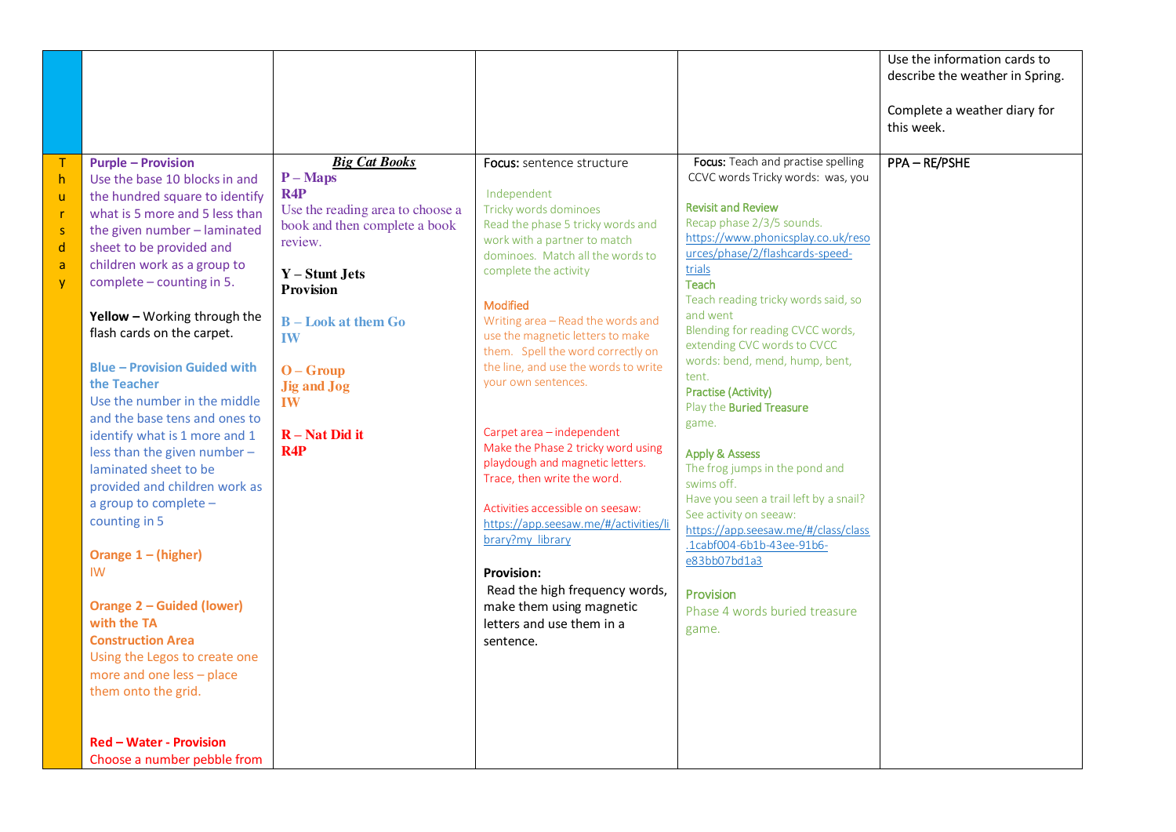|                                                                                                        |                                                                                                                                                                                                                                                                                                                                                                                                                                                                                                                                                                                                                                                                                                                                                                                                                                                                                             |                                                                                                                                                                                                                                                                                     |                                                                                                                                                                                                                                                                                                                                                                                                                                                                                                                                                                                                                                                                                                                                                                        |                                                                                                                                                                                                                                                                                                                                                                                                                                                                                                                                                                                                                                                                                                                                                                             | Use the information cards to<br>describe the weather in Spring.<br>Complete a weather diary for<br>this week. |
|--------------------------------------------------------------------------------------------------------|---------------------------------------------------------------------------------------------------------------------------------------------------------------------------------------------------------------------------------------------------------------------------------------------------------------------------------------------------------------------------------------------------------------------------------------------------------------------------------------------------------------------------------------------------------------------------------------------------------------------------------------------------------------------------------------------------------------------------------------------------------------------------------------------------------------------------------------------------------------------------------------------|-------------------------------------------------------------------------------------------------------------------------------------------------------------------------------------------------------------------------------------------------------------------------------------|------------------------------------------------------------------------------------------------------------------------------------------------------------------------------------------------------------------------------------------------------------------------------------------------------------------------------------------------------------------------------------------------------------------------------------------------------------------------------------------------------------------------------------------------------------------------------------------------------------------------------------------------------------------------------------------------------------------------------------------------------------------------|-----------------------------------------------------------------------------------------------------------------------------------------------------------------------------------------------------------------------------------------------------------------------------------------------------------------------------------------------------------------------------------------------------------------------------------------------------------------------------------------------------------------------------------------------------------------------------------------------------------------------------------------------------------------------------------------------------------------------------------------------------------------------------|---------------------------------------------------------------------------------------------------------------|
| $\mathsf T$<br>h<br>$\mathsf{u}$<br>$\mathsf{r}$<br>$\mathsf S$<br>$\sf d$<br>$\mathsf{a}$<br><b>y</b> | <b>Purple - Provision</b><br>Use the base 10 blocks in and<br>the hundred square to identify<br>what is 5 more and 5 less than<br>the given number - laminated<br>sheet to be provided and<br>children work as a group to<br>complete - counting in 5.<br>Yellow - Working through the<br>flash cards on the carpet.<br><b>Blue - Provision Guided with</b><br>the Teacher<br>Use the number in the middle<br>and the base tens and ones to<br>identify what is 1 more and 1<br>less than the given number -<br>laminated sheet to be<br>provided and children work as<br>a group to complete -<br>counting in 5<br>Orange $1 - (higher)$<br><b>IW</b><br><b>Orange 2 - Guided (lower)</b><br>with the TA<br><b>Construction Area</b><br>Using the Legos to create one<br>more and one less - place<br>them onto the grid.<br><b>Red - Water - Provision</b><br>Choose a number pebble from | <b>Big Cat Books</b><br>$P-Maps$<br>R4P<br>Use the reading area to choose a<br>book and then complete a book<br>review.<br>Y - Stunt Jets<br><b>Provision</b><br>$B - Look$ at them $Go$<br><b>IW</b><br>$O - G$ roup<br><b>Jig and Jog</b><br><b>IW</b><br>$R - Nat Did$ it<br>R4P | Focus: sentence structure<br>Independent<br>Tricky words dominoes<br>Read the phase 5 tricky words and<br>work with a partner to match<br>dominoes. Match all the words to<br>complete the activity<br><b>Modified</b><br>Writing area - Read the words and<br>use the magnetic letters to make<br>them. Spell the word correctly on<br>the line, and use the words to write<br>your own sentences.<br>Carpet area - independent<br>Make the Phase 2 tricky word using<br>playdough and magnetic letters.<br>Trace, then write the word.<br>Activities accessible on seesaw:<br>https://app.seesaw.me/#/activities/li<br>brary?my library<br><b>Provision:</b><br>Read the high frequency words,<br>make them using magnetic<br>letters and use them in a<br>sentence. | Focus: Teach and practise spelling<br>CCVC words Tricky words: was, you<br><b>Revisit and Review</b><br>Recap phase 2/3/5 sounds.<br>https://www.phonicsplay.co.uk/reso<br>urces/phase/2/flashcards-speed-<br>trials<br><b>Teach</b><br>Teach reading tricky words said, so<br>and went<br>Blending for reading CVCC words,<br>extending CVC words to CVCC<br>words: bend, mend, hump, bent,<br>tent.<br><b>Practise (Activity)</b><br>Play the <b>Buried Treasure</b><br>game.<br><b>Apply &amp; Assess</b><br>The frog jumps in the pond and<br>swims off.<br>Have you seen a trail left by a snail?<br>See activity on seeaw:<br>https://app.seesaw.me/#/class/class<br>.1cabf004-6b1b-43ee-91b6-<br>e83bb07bd1a3<br>Provision<br>Phase 4 words buried treasure<br>game. | PPA-RE/PSHE                                                                                                   |